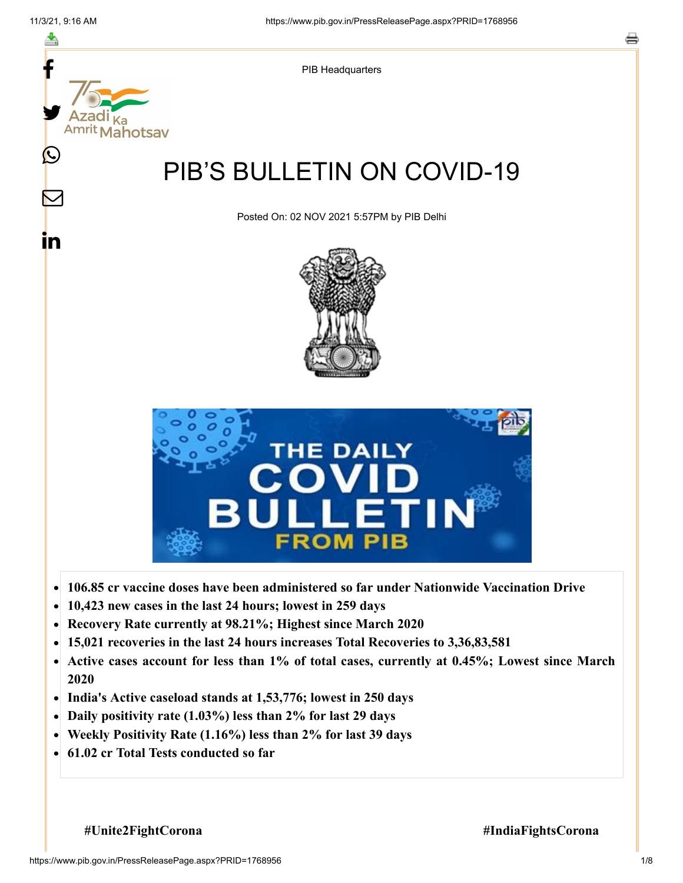f



- **106.85 cr vaccine doses have been administered so far under Nationwide Vaccination Drive**  $\bullet$
- **10,423 new cases in the last 24 hours; lowest in 259 days**  $\bullet$
- **Recovery Rate currently at 98.21%; Highest since March 2020**
- **15,021 recoveries in the last 24 hours increases Total Recoveries to 3,36,83,581**  $\bullet$
- **Active cases account for less than 1% of total cases, currently at 0.45%; Lowest since March**  $\bullet$ **2020**
- **India's Active caseload stands at 1,53,776; lowest in 250 days**  $\bullet$
- **Daily positivity rate (1.03%) less than 2% for last 29 days**  $\bullet$
- **Weekly Positivity Rate (1.16%) less than 2% for last 39 days**  $\bullet$
- **61.02 cr Total Tests conducted so far**  $\bullet$

**#Unite2FightCorona #IndiaFightsCorona**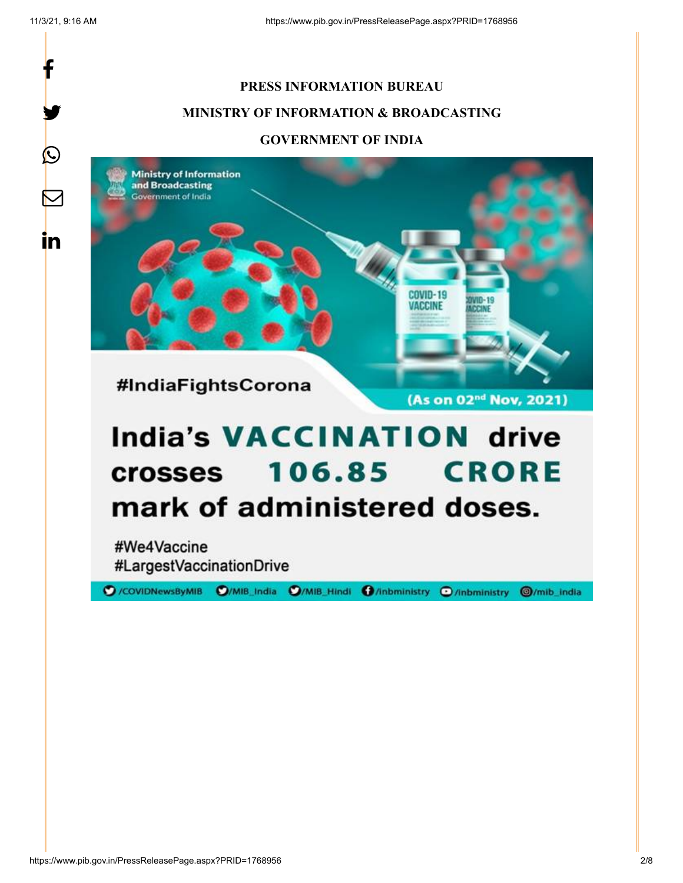f

y.

 $\bigcirc$ 

 $\boldsymbol{\nabla}$ 

in

## **PRESS INFORMATION BUREAU MINISTRY OF INFORMATION & BROADCASTING GOVERNMENT OF INDIA**



# **India's VACCINATION drive 106.85 CRORE crosses** mark of administered doses.

#We4Vaccine #LargestVaccinationDrive

O/COVIDNewsByMIB O/MIB\_India O/MIB\_Hindi O/inbministry O/inbministry O/mib\_india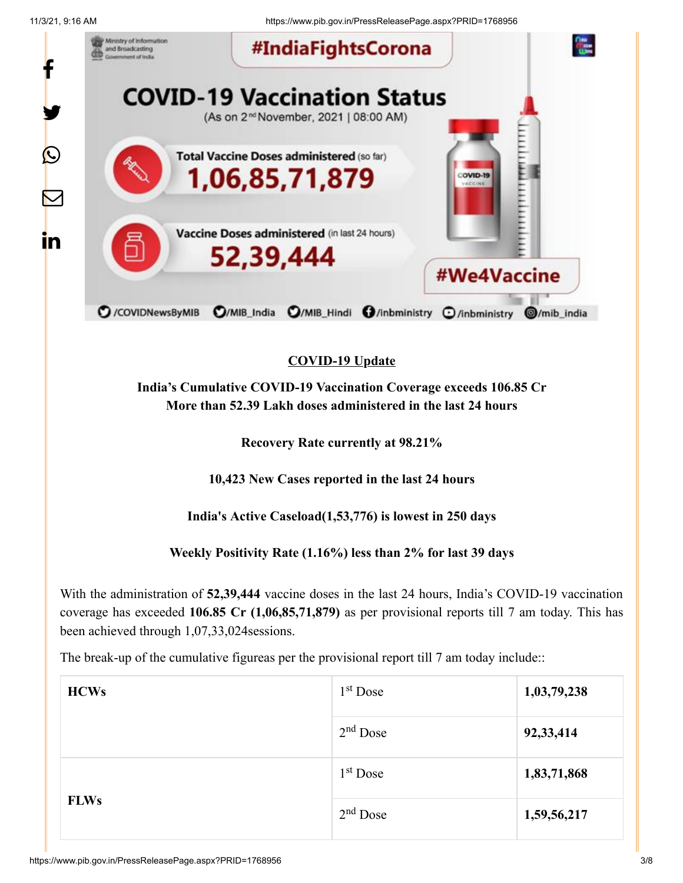11/3/21, 9:16 AM https://www.pib.gov.in/PressReleasePage.aspx?PRID=1768956



### **COVID-19 Update**

**India's Cumulative COVID-19 Vaccination Coverage exceeds 106.85 Cr More than 52.39 Lakh doses administered in the last 24 hours**

**Recovery Rate currently at 98.21%**

**10,423 New Cases reported in the last 24 hours**

**India's Active Caseload(1,53,776) is lowest in 250 days**

**Weekly Positivity Rate (1.16%) less than 2% for last 39 days**

With the administration of **52,39,444** vaccine doses in the last 24 hours, India's COVID-19 vaccination coverage has exceeded **106.85 Cr (1,06,85,71,879)** as per provisional reports till 7 am today. This has been achieved through 1,07,33,024sessions.

The break-up of the cumulative figureas per the provisional report till 7 am today include::

| <b>HCWs</b> | $1st$ Dose | 1,03,79,238 |
|-------------|------------|-------------|
|             | $2nd$ Dose | 92,33,414   |
|             | $1st$ Dose | 1,83,71,868 |
| <b>FLWs</b> | $2nd$ Dose | 1,59,56,217 |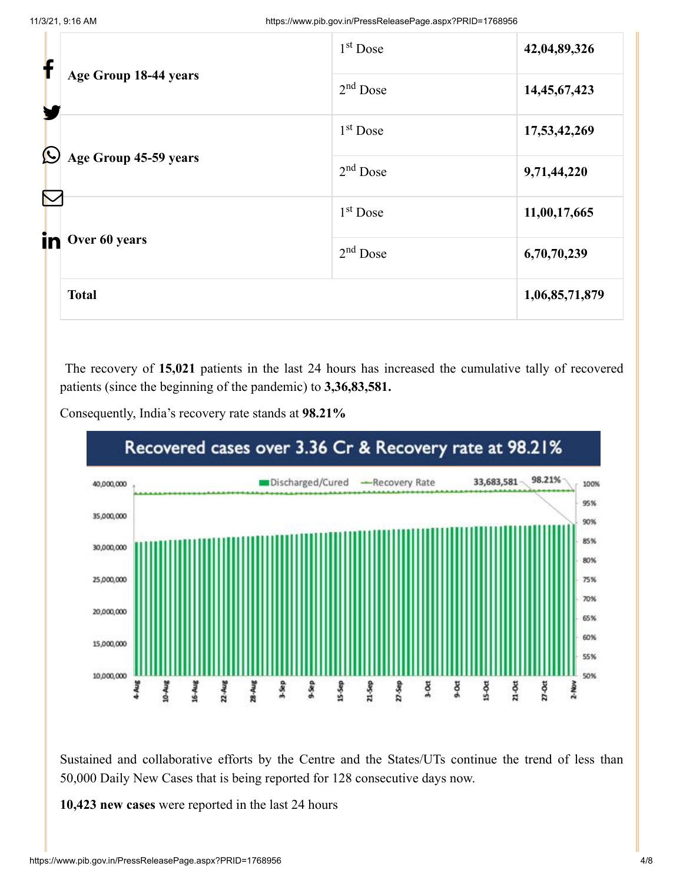| f             |                                                                     | $1st$ Dose | 42,04,89,326   |
|---------------|---------------------------------------------------------------------|------------|----------------|
|               | Age Group 18-44 years                                               | $2nd$ Dose | 14,45,67,423   |
| $\bm{\Omega}$ |                                                                     | $1st$ Dose | 17,53,42,269   |
|               | Age Group 45-59 years<br>$\color{red}\nabla$<br>in<br>Over 60 years | $2nd$ Dose | 9,71,44,220    |
|               |                                                                     | $1st$ Dose | 11,00,17,665   |
|               |                                                                     | $2nd$ Dose | 6,70,70,239    |
|               | <b>Total</b>                                                        |            | 1,06,85,71,879 |

The recovery of **15,021** patients in the last 24 hours has increased the cumulative tally of recovered patients (since the beginning of the pandemic) to **3,36,83,581.**



Consequently, India's recovery rate stands at **98.21%**

Sustained and collaborative efforts by the Centre and the States/UTs continue the trend of less than 50,000 Daily New Cases that is being reported for 128 consecutive days now.

**10,423 new cases** were reported in the last 24 hours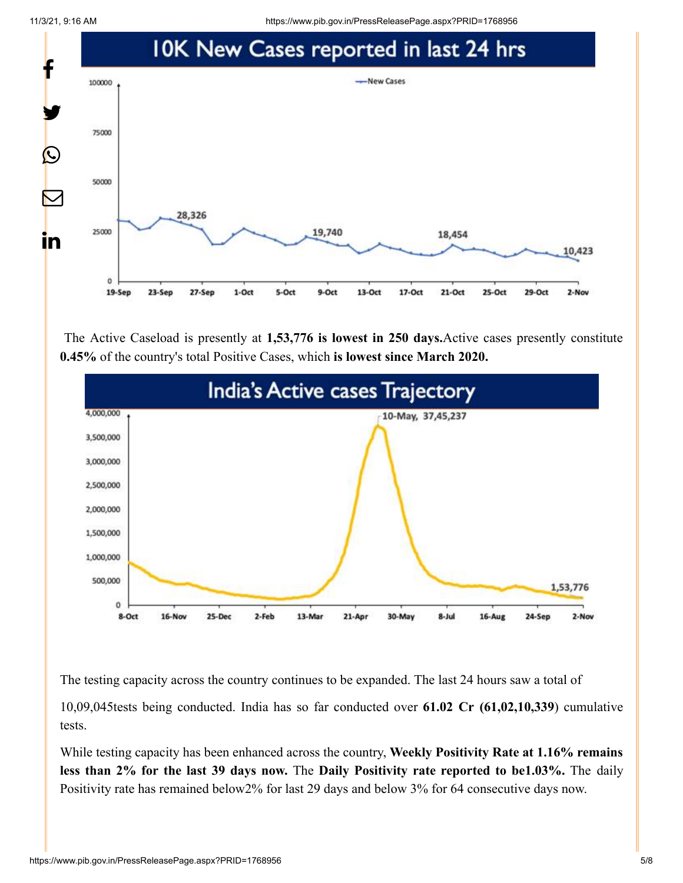11/3/21, 9:16 AM https://www.pib.gov.in/PressReleasePage.aspx?PRID=1768956



The Active Caseload is presently at **1,53,776 is lowest in 250 days.**Active cases presently constitute **0.45%** of the country's total Positive Cases, which **is lowest since March 2020.**



The testing capacity across the country continues to be expanded. The last 24 hours saw a total of

10,09,045tests being conducted. India has so far conducted over **61.02 Cr (61,02,10,339**) cumulative tests.

While testing capacity has been enhanced across the country, **Weekly Positivity Rate at 1.16% remains less than 2% for the last 39 days now.** The **Daily Positivity rate reported to be1.03%.** The daily Positivity rate has remained below2% for last 29 days and below 3% for 64 consecutive days now.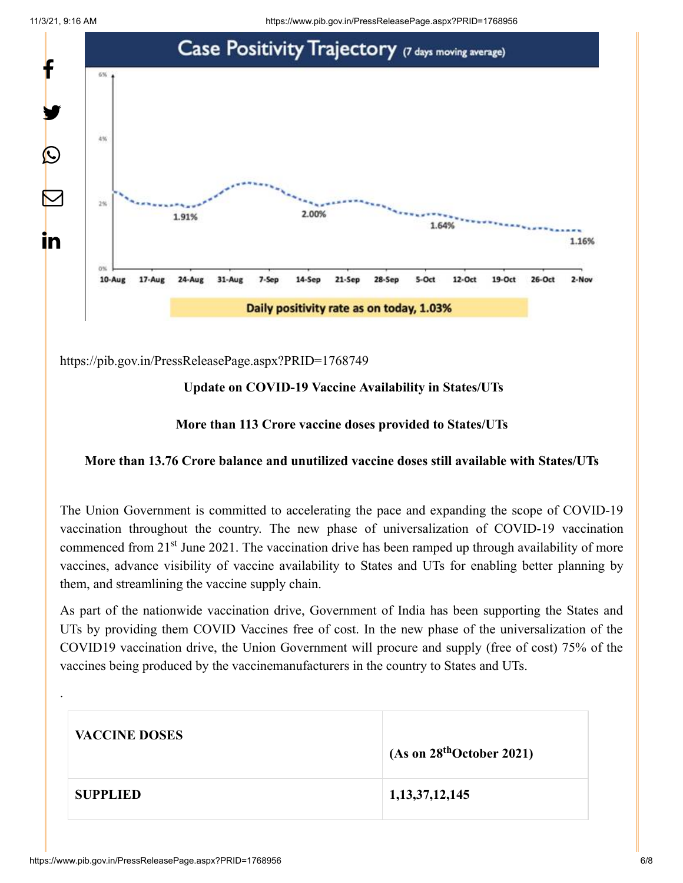

<https://pib.gov.in/PressReleasePage.aspx?PRID=1768749>

#### **Update on COVID-19 Vaccine Availability in States/UTs**

#### **More than 113 Crore vaccine doses provided to States/UTs**

#### **More than 13.76 Crore balance and unutilized vaccine doses still available with States/UTs**

The Union Government is committed to accelerating the pace and expanding the scope of COVID-19 vaccination throughout the country. The new phase of universalization of COVID-19 vaccination commenced from 21<sup>st</sup> June 2021. The vaccination drive has been ramped up through availability of more vaccines, advance visibility of vaccine availability to States and UTs for enabling better planning by them, and streamlining the vaccine supply chain.

As part of the nationwide vaccination drive, Government of India has been supporting the States and UTs by providing them COVID Vaccines free of cost. In the new phase of the universalization of the COVID19 vaccination drive, the Union Government will procure and supply (free of cost) 75% of the vaccines being produced by the vaccinemanufacturers in the country to States and UTs.

| <b>VACCINE DOSES</b> | (As on 28 <sup>th</sup> October 2021) |
|----------------------|---------------------------------------|
| <b>SUPPLIED</b>      | 1, 13, 37, 12, 145                    |

.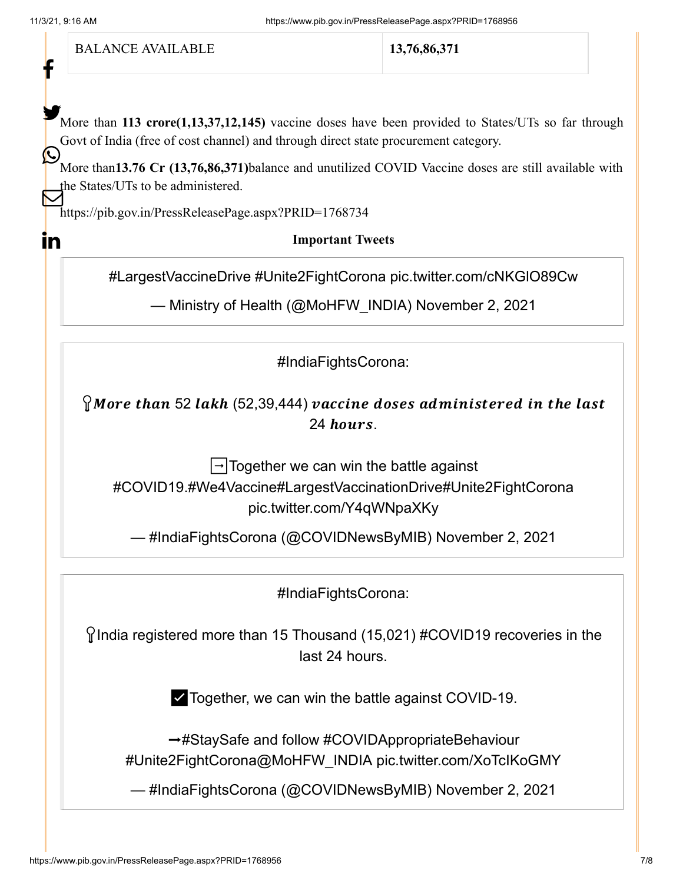f

(L.

 $\mathbf{in}$ 

BALANCE AVAILABLE **13,76,86,371**

More than 113 crore(1,13,37,12,145) vaccine doses have been provided to States/UTs so far through Govt of India (free of cost channel) and through direct state procurement category.

More than**13.76 Cr (13,76,86,371)**balance and unutilized COVID Vaccine doses are still available with the States/UTs to be administered.  $\overline{\bf Z}$ 

<https://pib.gov.in/PressReleasePage.aspx?PRID=1768734>

**Important Tweets**

[#LargestVaccineDrive](https://twitter.com/hashtag/LargestVaccineDrive?src=hash&ref_src=twsrc%5Etfw) [#Unite2FightCorona](https://twitter.com/hashtag/Unite2FightCorona?src=hash&ref_src=twsrc%5Etfw) [pic.twitter.com/cNKGlO89Cw](https://t.co/cNKGlO89Cw)

— Ministry of Health (@MoHFW\_INDIA) [November 2, 2021](https://twitter.com/MoHFW_INDIA/status/1455470268437069832?ref_src=twsrc%5Etfw)

[#IndiaFightsCorona:](https://twitter.com/hashtag/IndiaFightsCorona?src=hash&ref_src=twsrc%5Etfw)

 $\Omega$  More than 52 lakh (52,39,444) vaccine doses administered in the last  $24$  hours.

 $\rightarrow$ Together we can win the battle against [#COVID19](https://twitter.com/hashtag/COVID19?src=hash&ref_src=twsrc%5Etfw)[.#We4Vaccine](https://twitter.com/hashtag/We4Vaccine?src=hash&ref_src=twsrc%5Etfw)[#LargestVaccinationDrive](https://twitter.com/hashtag/LargestVaccinationDrive?src=hash&ref_src=twsrc%5Etfw)[#Unite2FightCorona](https://twitter.com/hashtag/Unite2FightCorona?src=hash&ref_src=twsrc%5Etfw) [pic.twitter.com/Y4qWNpaXKy](https://t.co/Y4qWNpaXKy)

— #IndiaFightsCorona (@COVIDNewsByMIB) [November 2, 2021](https://twitter.com/COVIDNewsByMIB/status/1455447156404355081?ref_src=twsrc%5Etfw)

[#IndiaFightsCorona:](https://twitter.com/hashtag/IndiaFightsCorona?src=hash&ref_src=twsrc%5Etfw)

 $\gamma$ India registered more than 15 Thousand (15,021) [#COVID19](https://twitter.com/hashtag/COVID19?src=hash&ref_src=twsrc%5Etfw) recoveries in the last 24 hours.

✅Together, we can win the battle against COVID-19.

→[#StaySafe](https://twitter.com/hashtag/StaySafe?src=hash&ref_src=twsrc%5Etfw) and follow [#COVIDAppropriateBehaviour](https://twitter.com/hashtag/COVIDAppropriateBehaviour?src=hash&ref_src=twsrc%5Etfw) [#Unite2FightCorona](https://twitter.com/hashtag/Unite2FightCorona?src=hash&ref_src=twsrc%5Etfw)[@MoHFW\\_INDIA](https://twitter.com/MoHFW_INDIA?ref_src=twsrc%5Etfw) [pic.twitter.com/XoTcIKoGMY](https://t.co/XoTcIKoGMY)

— #IndiaFightsCorona (@COVIDNewsByMIB) [November 2, 2021](https://twitter.com/COVIDNewsByMIB/status/1455434796012691457?ref_src=twsrc%5Etfw)